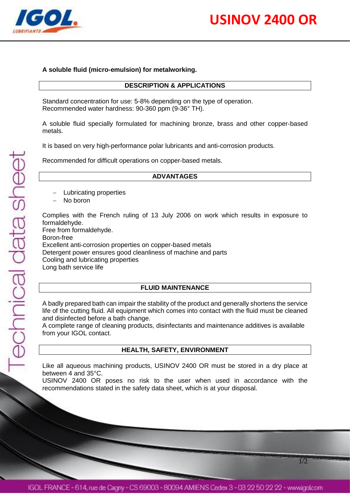

1/2

# **A soluble fluid (micro-emulsion) for metalworking.**

# **DESCRIPTION & APPLICATIONS**

Standard concentration for use: 5-8% depending on the type of operation. Recommended water hardness: 90-360 ppm (9-36° TH).

A soluble fluid specially formulated for machining bronze, brass and other copper-based metals.

It is based on very high-performance polar lubricants and anti-corrosion products.

Recommended for difficult operations on copper-based metals.

# **ADVANTAGES**

- Lubricating properties
- No boron

Complies with the French ruling of 13 July 2006 on work which results in exposure to formaldehyde.

Free from formaldehyde. Boron-free Excellent anti-corrosion properties on copper-based metals Detergent power ensures good cleanliness of machine and parts Cooling and lubricating properties Long bath service life

# **FLUID MAINTENANCE**

A badly prepared bath can impair the stability of the product and generally shortens the service life of the cutting fluid. All equipment which comes into contact with the fluid must be cleaned and disinfected before a bath change.

A complete range of cleaning products, disinfectants and maintenance additives is available from your IGOL contact.

# **HEALTH, SAFETY, ENVIRONMENT**

Like all aqueous machining products, USINOV 2400 OR must be stored in a dry place at between 4 and 35°C.

USINOV 2400 OR poses no risk to the user when used in accordance with the recommendations stated in the safety data sheet, which is at your disposal.